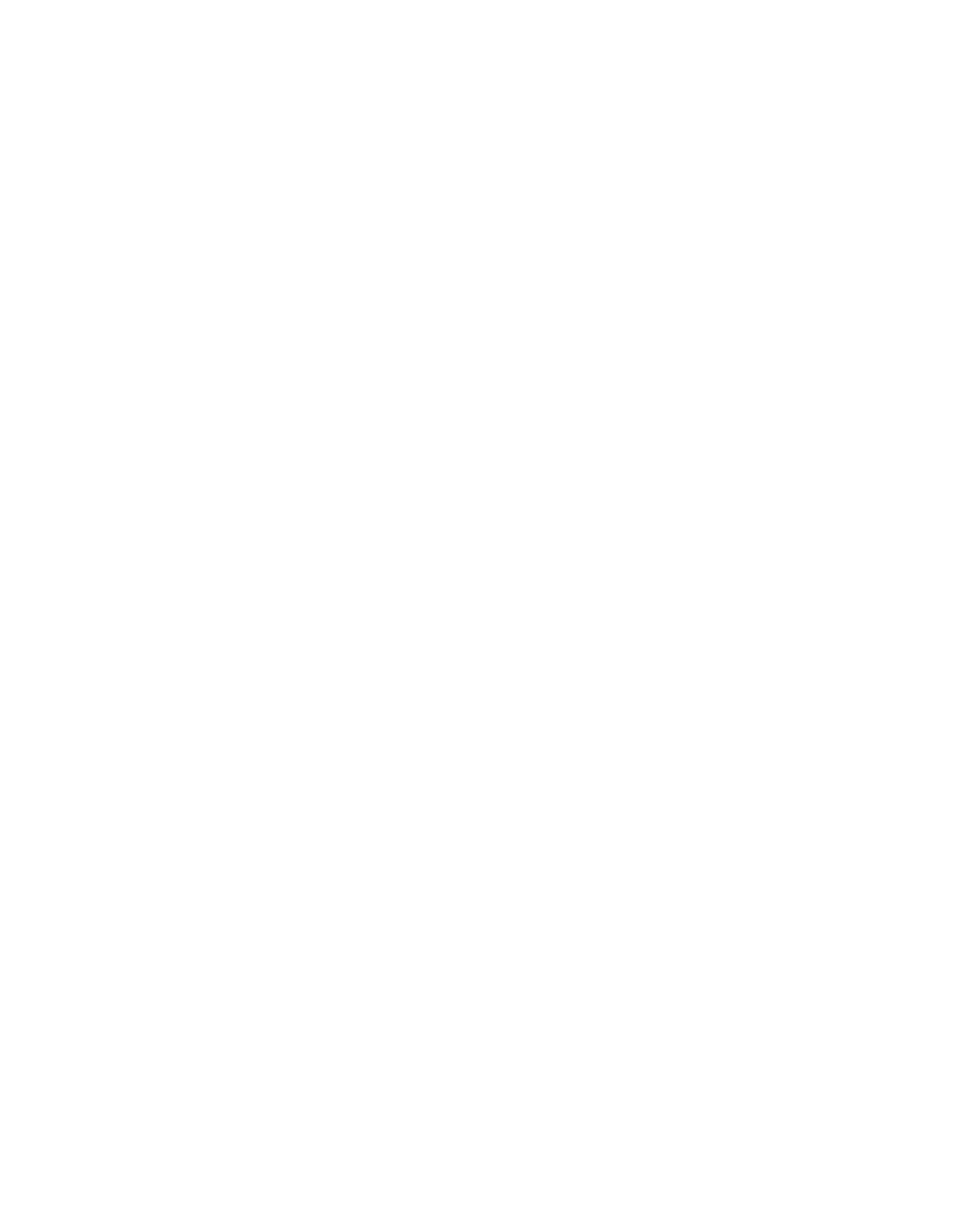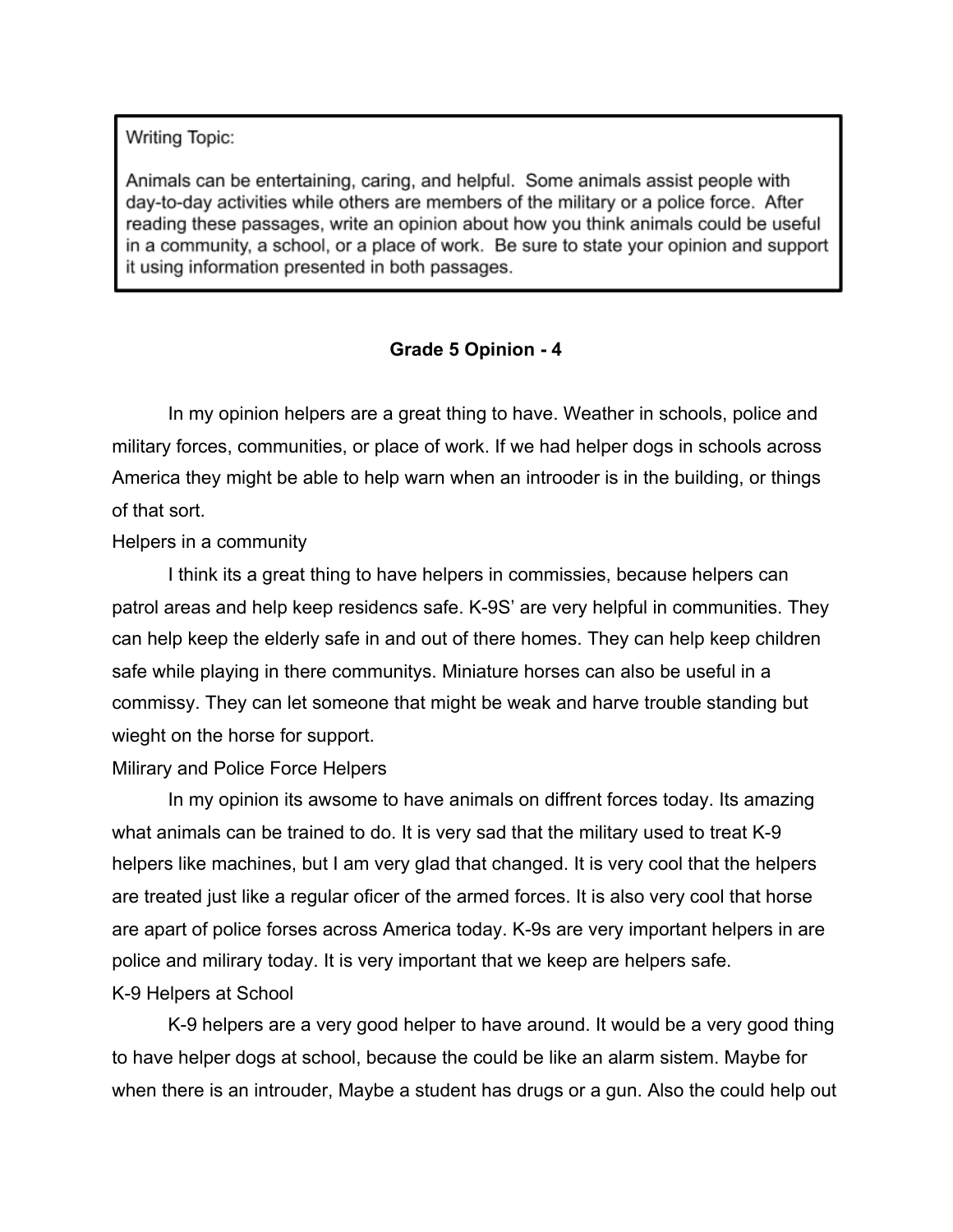Animals can be entertaining, caring, and helpful. Some animals assist people with day-to-day activities while others are members of the military or a police force. After reading these passages, write an opinion about how you think animals could be useful in a community, a school, or a place of work. Be sure to state your opinion and support it using information presented in both passages.

## **Grade 5 Opinion - 4**

In my opinion helpers are a great thing to have. Weather in schools, police and military forces, communities, or place of work. If we had helper dogs in schools across America they might be able to help warn when an introoder is in the building, or things of that sort.

Helpers in a community

I think its a great thing to have helpers in commissies, because helpers can patrol areas and help keep residencs safe. K-9S' are very helpful in communities. They can help keep the elderly safe in and out of there homes. They can help keep children safe while playing in there communitys. Miniature horses can also be useful in a commissy. They can let someone that might be weak and harve trouble standing but wieght on the horse for support.

Milirary and Police Force Helpers

In my opinion its awsome to have animals on diffrent forces today. Its amazing what animals can be trained to do. It is very sad that the military used to treat K-9 helpers like machines, but I am very glad that changed. It is very cool that the helpers are treated just like a regular oficer of the armed forces. It is also very cool that horse are apart of police forses across America today. K-9s are very important helpers in are police and milirary today. It is very important that we keep are helpers safe. K-9 Helpers at School

K-9 helpers are a very good helper to have around. It would be a very good thing to have helper dogs at school, because the could be like an alarm sistem. Maybe for when there is an introuder, Maybe a student has drugs or a gun. Also the could help out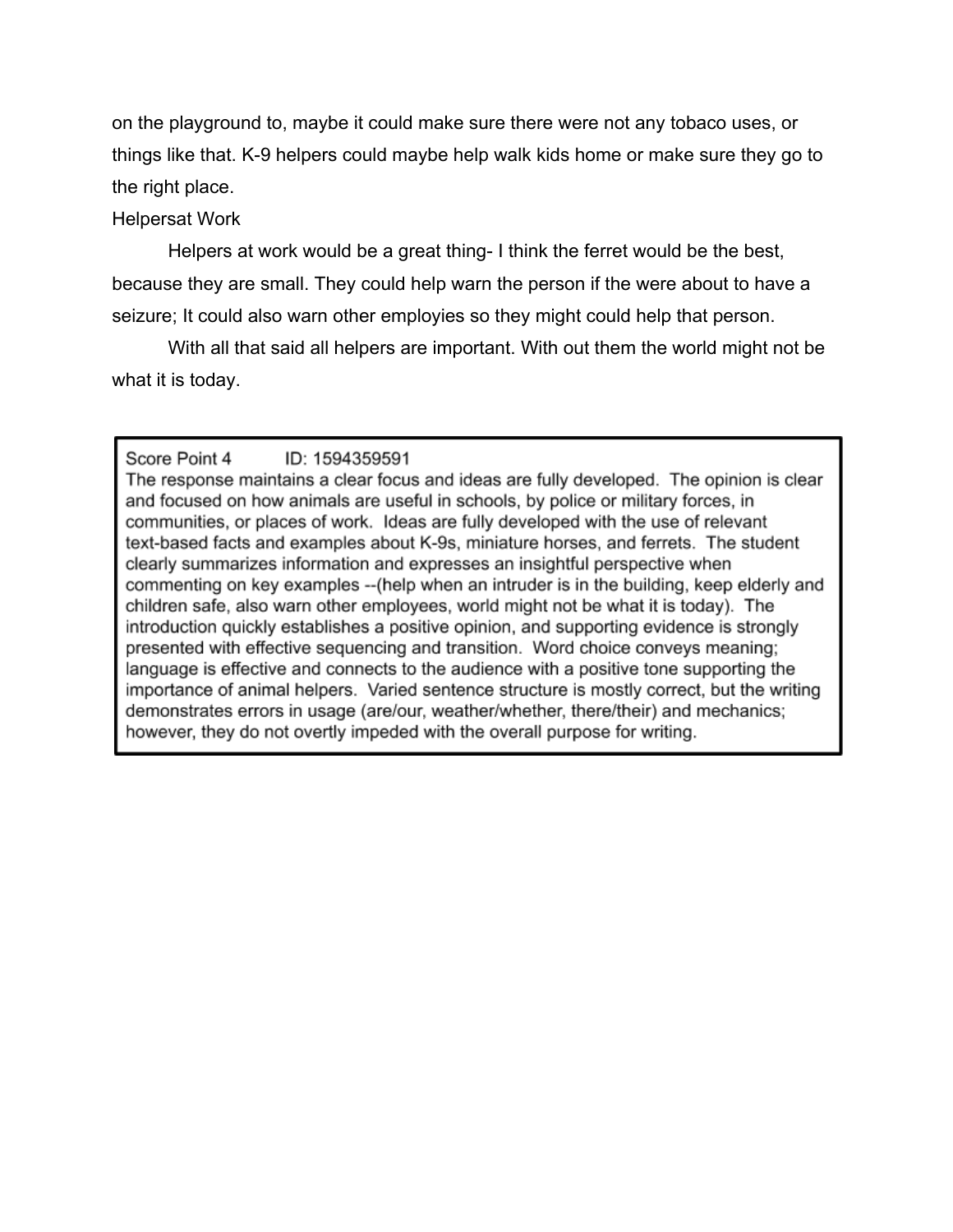on the playground to, maybe it could make sure there were not any tobaco uses, or things like that. K-9 helpers could maybe help walk kids home or make sure they go to the right place.

### Helpersat Work

Helpers at work would be a great thing- I think the ferret would be the best, because they are small. They could help warn the person if the were about to have a seizure; It could also warn other employies so they might could help that person.

With all that said all helpers are important. With out them the world might not be what it is today.

#### Score Point 4 ID: 1594359591

The response maintains a clear focus and ideas are fully developed. The opinion is clear and focused on how animals are useful in schools, by police or military forces, in communities, or places of work. Ideas are fully developed with the use of relevant text-based facts and examples about K-9s, miniature horses, and ferrets. The student clearly summarizes information and expresses an insightful perspective when commenting on key examples -- (help when an intruder is in the building, keep elderly and children safe, also warn other employees, world might not be what it is today). The introduction quickly establishes a positive opinion, and supporting evidence is strongly presented with effective sequencing and transition. Word choice conveys meaning; language is effective and connects to the audience with a positive tone supporting the importance of animal helpers. Varied sentence structure is mostly correct, but the writing demonstrates errors in usage (are/our, weather/whether, there/their) and mechanics; however, they do not overtly impeded with the overall purpose for writing.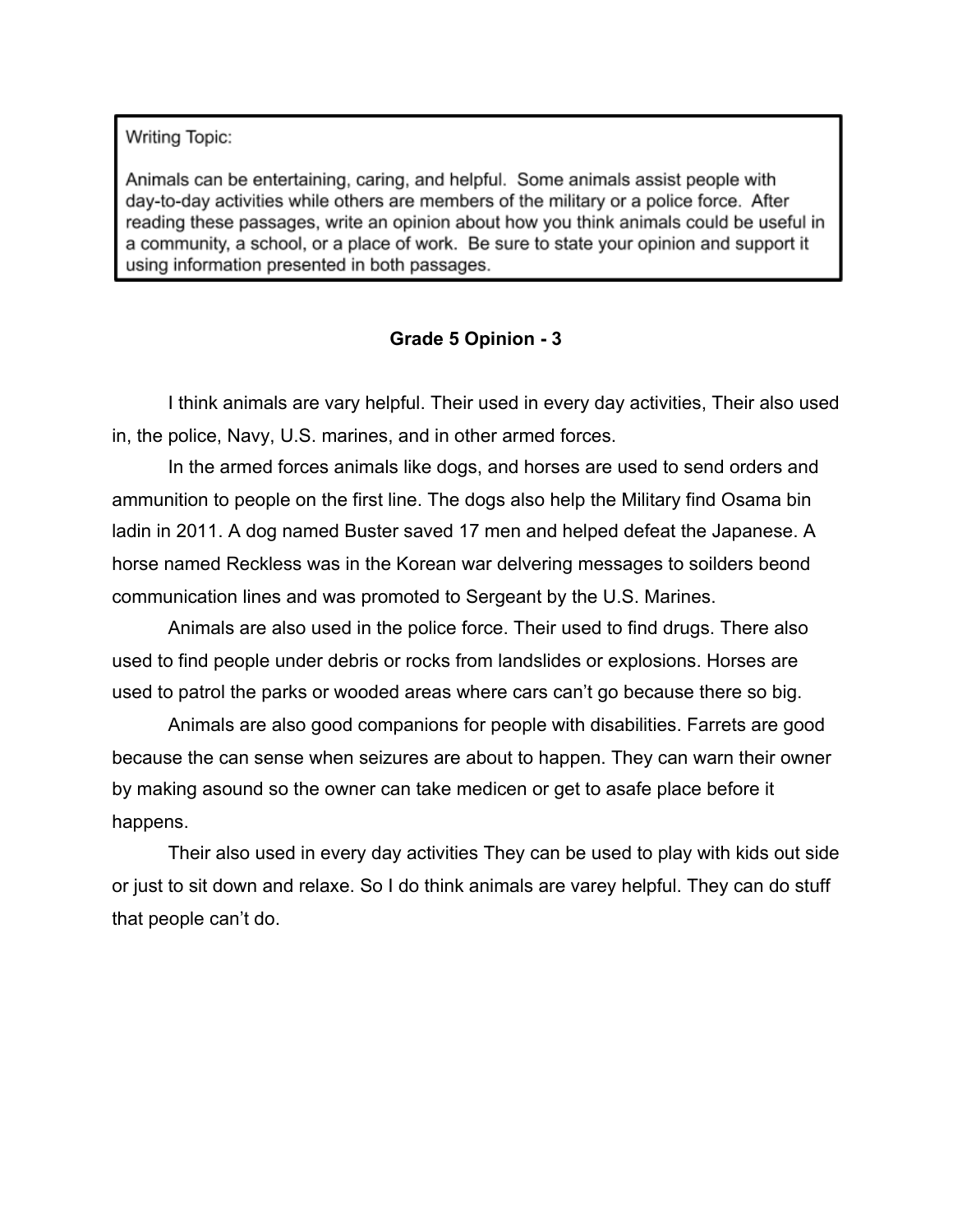Animals can be entertaining, caring, and helpful. Some animals assist people with day-to-day activities while others are members of the military or a police force. After reading these passages, write an opinion about how you think animals could be useful in a community, a school, or a place of work. Be sure to state your opinion and support it using information presented in both passages.

### **Grade 5 Opinion - 3**

I think animals are vary helpful. Their used in every day activities, Their also used in, the police, Navy, U.S. marines, and in other armed forces.

In the armed forces animals like dogs, and horses are used to send orders and ammunition to people on the first line. The dogs also help the Military find Osama bin ladin in 2011. A dog named Buster saved 17 men and helped defeat the Japanese. A horse named Reckless was in the Korean war delvering messages to soilders beond communication lines and was promoted to Sergeant by the U.S. Marines.

Animals are also used in the police force. Their used to find drugs. There also used to find people under debris or rocks from landslides or explosions. Horses are used to patrol the parks or wooded areas where cars can't go because there so big.

Animals are also good companions for people with disabilities. Farrets are good because the can sense when seizures are about to happen. They can warn their owner by making asound so the owner can take medicen or get to asafe place before it happens.

Their also used in every day activities They can be used to play with kids out side or just to sit down and relaxe. So I do think animals are varey helpful. They can do stuff that people can't do.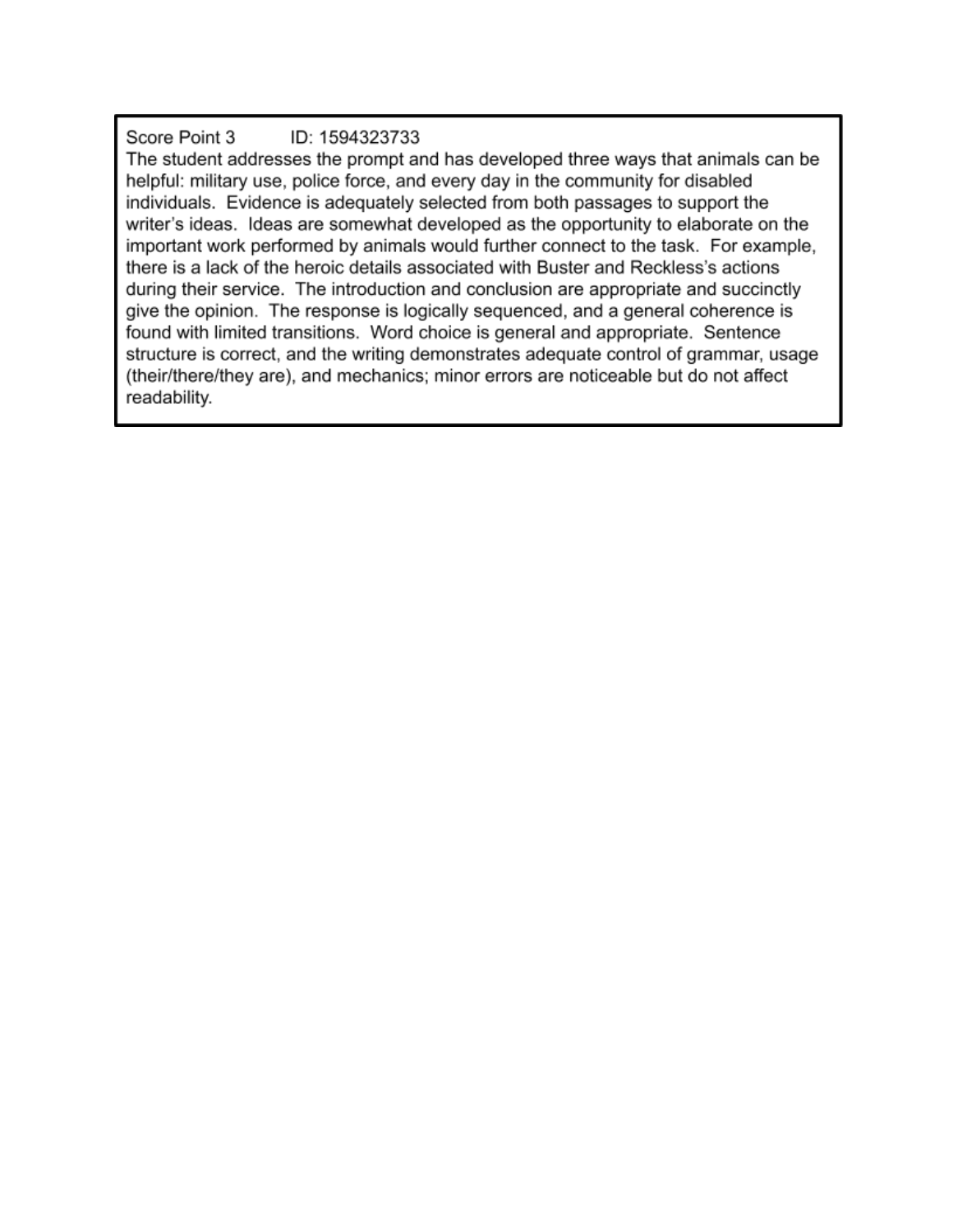Score Point 3 ID: 1594323733

The student addresses the prompt and has developed three ways that animals can be helpful: military use, police force, and every day in the community for disabled individuals. Evidence is adequately selected from both passages to support the writer's ideas. Ideas are somewhat developed as the opportunity to elaborate on the important work performed by animals would further connect to the task. For example, there is a lack of the heroic details associated with Buster and Reckless's actions during their service. The introduction and conclusion are appropriate and succinctly give the opinion. The response is logically sequenced, and a general coherence is found with limited transitions. Word choice is general and appropriate. Sentence structure is correct, and the writing demonstrates adequate control of grammar, usage (their/there/they are), and mechanics; minor errors are noticeable but do not affect readability.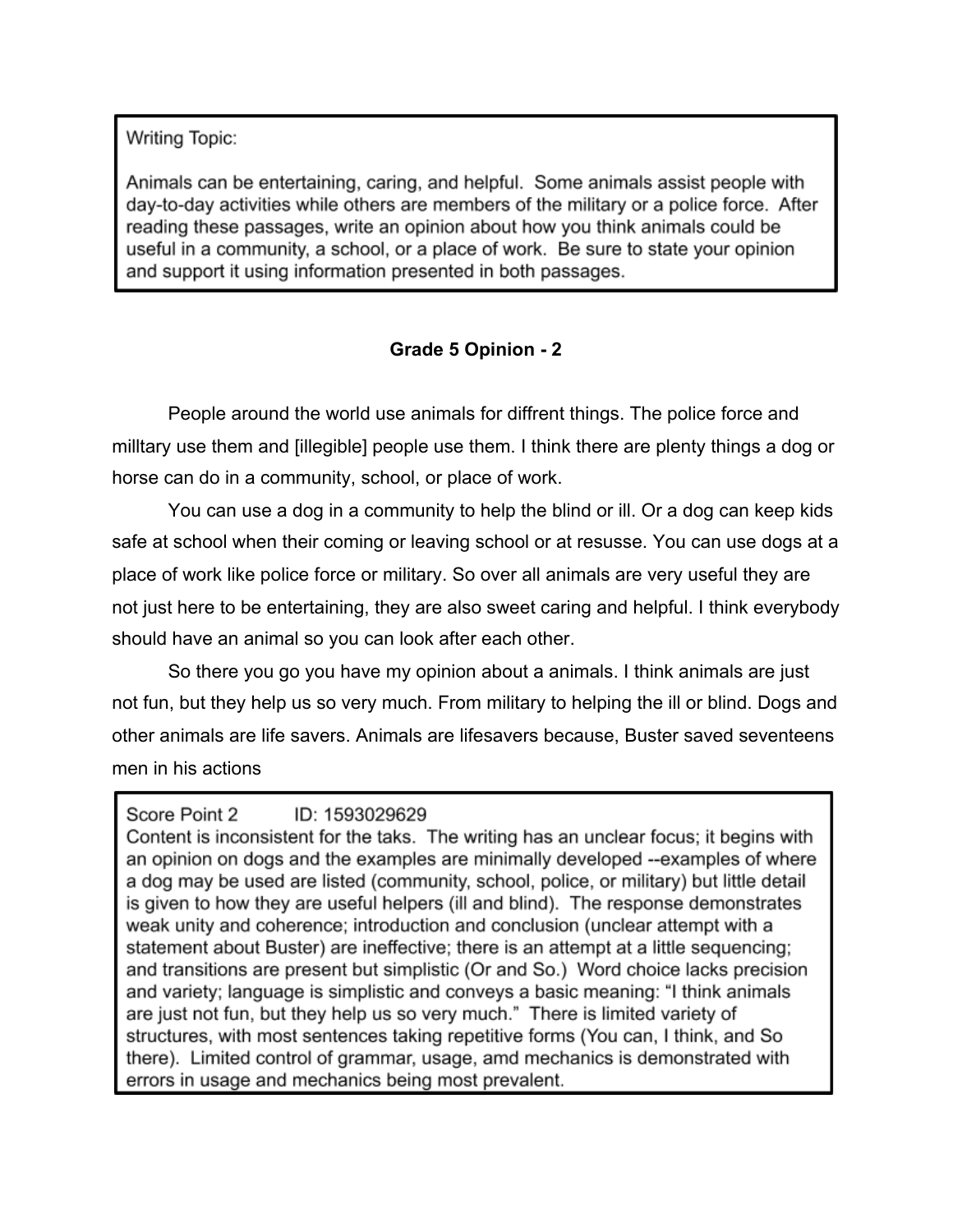Animals can be entertaining, caring, and helpful. Some animals assist people with day-to-day activities while others are members of the military or a police force. After reading these passages, write an opinion about how you think animals could be useful in a community, a school, or a place of work. Be sure to state your opinion and support it using information presented in both passages.

# **Grade 5 Opinion - 2**

People around the world use animals for diffrent things. The police force and milltary use them and [illegible] people use them. I think there are plenty things a dog or horse can do in a community, school, or place of work.

You can use a dog in a community to help the blind or ill. Or a dog can keep kids safe at school when their coming or leaving school or at resusse. You can use dogs at a place of work like police force or military. So over all animals are very useful they are not just here to be entertaining, they are also sweet caring and helpful. I think everybody should have an animal so you can look after each other.

So there you go you have my opinion about a animals. I think animals are just not fun, but they help us so very much. From military to helping the ill or blind. Dogs and other animals are life savers. Animals are lifesavers because, Buster saved seventeens men in his actions

Score Point 2 ID: 1593029629

Content is inconsistent for the taks. The writing has an unclear focus; it begins with an opinion on dogs and the examples are minimally developed --examples of where a dog may be used are listed (community, school, police, or military) but little detail is given to how they are useful helpers (ill and blind). The response demonstrates weak unity and coherence; introduction and conclusion (unclear attempt with a statement about Buster) are ineffective; there is an attempt at a little sequencing; and transitions are present but simplistic (Or and So.) Word choice lacks precision and variety; language is simplistic and conveys a basic meaning: "I think animals are just not fun, but they help us so very much." There is limited variety of structures, with most sentences taking repetitive forms (You can, I think, and So there). Limited control of grammar, usage, amd mechanics is demonstrated with errors in usage and mechanics being most prevalent.